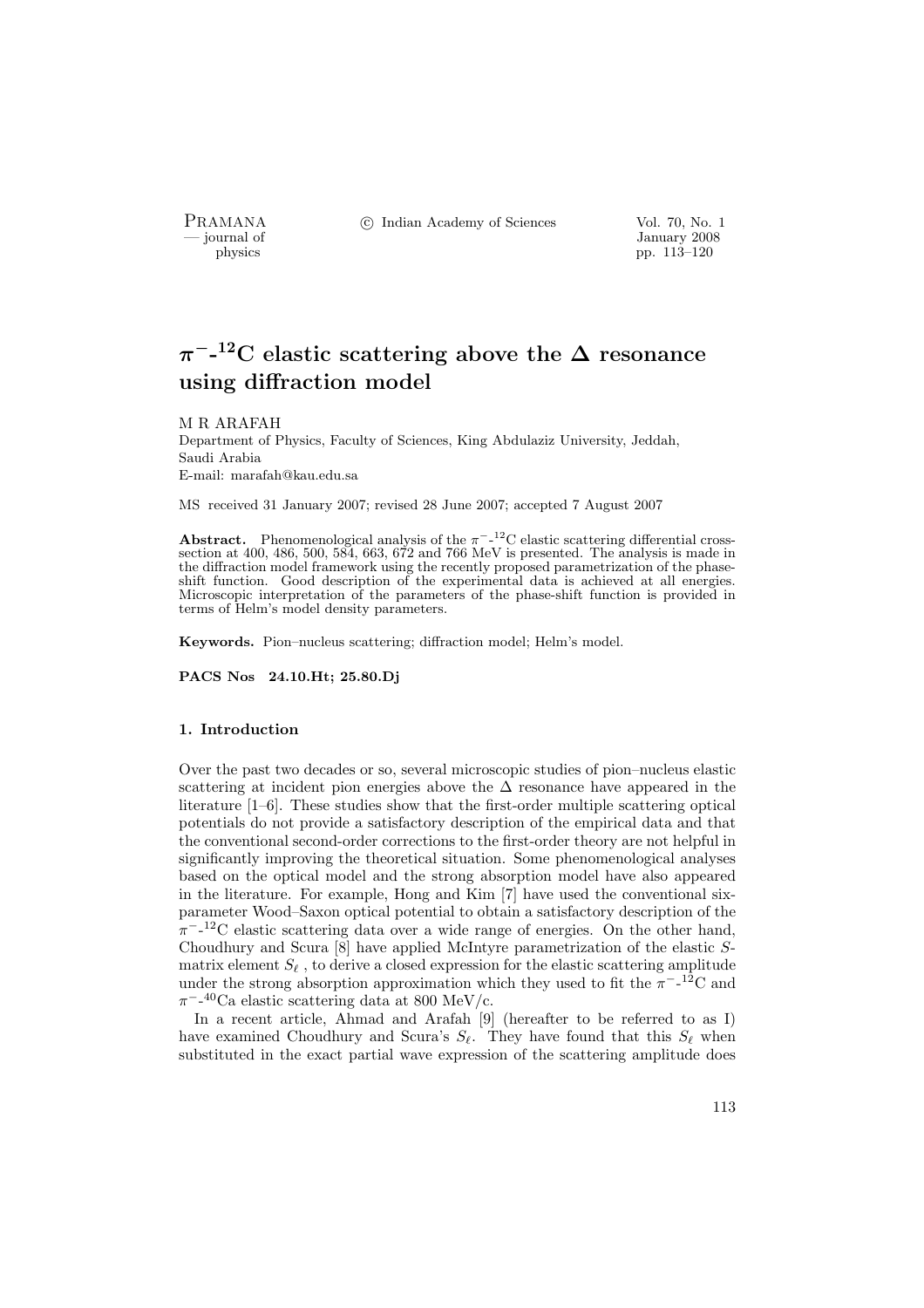PRAMANA °c Indian Academy of Sciences Vol. 70, No. 1

physics and the set of the set of the set of the set of the set of the set of the set of the set of the set of the set of the set of the set of the set of the set of the set of the set of the set of the set of the set of t pp. 113–120

# $\pi$ <sup>-</sup>-<sup>12</sup>C elastic scattering above the  $\Delta$  resonance using diffraction model

#### M R ARAFAH

Department of Physics, Faculty of Sciences, King Abdulaziz University, Jeddah, Saudi Arabia E-mail: marafah@kau.edu.sa

MS received 31 January 2007; revised 28 June 2007; accepted 7 August 2007

Abstract. Phenomenological analysis of the  $\pi^{-12}$ C elastic scattering differential crosssection at  $400, 486, 500, 584, 663, 672$  and 766 MeV is presented. The analysis is made in the diffraction model framework using the recently proposed parametrization of the phaseshift function. Good description of the experimental data is achieved at all energies. Microscopic interpretation of the parameters of the phase-shift function is provided in terms of Helm's model density parameters.

Keywords. Pion–nucleus scattering; diffraction model; Helm's model.

PACS Nos 24.10.Ht; 25.80.Dj

#### 1. Introduction

Over the past two decades or so, several microscopic studies of pion–nucleus elastic scattering at incident pion energies above the  $\Delta$  resonance have appeared in the literature [1–6]. These studies show that the first-order multiple scattering optical potentials do not provide a satisfactory description of the empirical data and that the conventional second-order corrections to the first-order theory are not helpful in significantly improving the theoretical situation. Some phenomenological analyses based on the optical model and the strong absorption model have also appeared in the literature. For example, Hong and Kim [7] have used the conventional sixparameter Wood–Saxon optical potential to obtain a satisfactory description of the  $\pi$ <sup>-12</sup>C elastic scattering data over a wide range of energies. On the other hand, Choudhury and Scura [8] have applied McIntyre parametrization of the elastic Smatrix element  $S_\ell$  , to derive a closed expression for the elastic scattering amplitude under the strong absorption approximation which they used to fit the  $\pi^{-12}$ C and  $\pi^{-1}$ <sup>40</sup>Ca elastic scattering data at 800 MeV/c.

In a recent article, Ahmad and Arafah [9] (hereafter to be referred to as I) have examined Choudhury and Scura's  $S_{\ell}$ . They have found that this  $S_{\ell}$  when substituted in the exact partial wave expression of the scattering amplitude does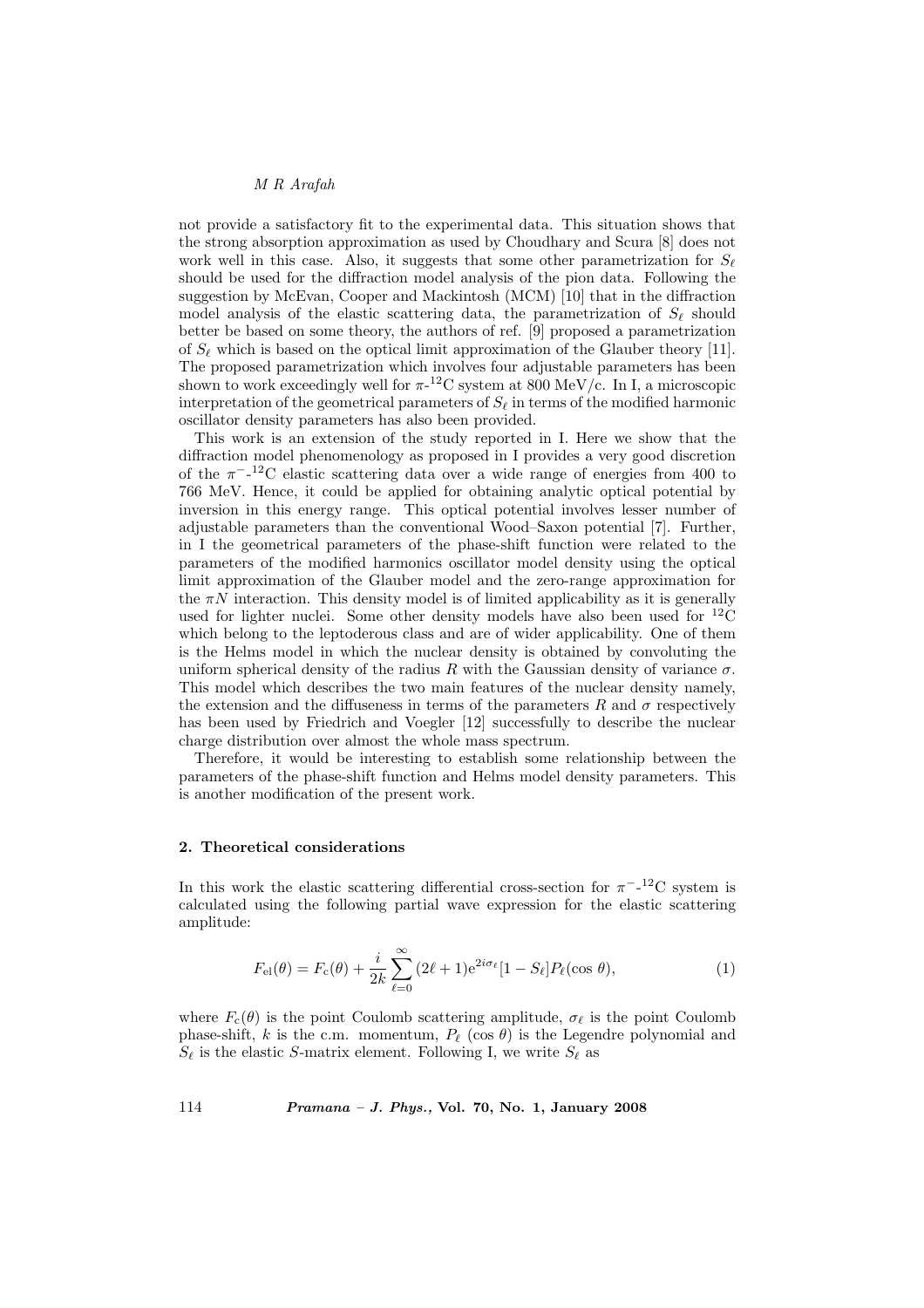# M R Arafah

not provide a satisfactory fit to the experimental data. This situation shows that the strong absorption approximation as used by Choudhary and Scura [8] does not work well in this case. Also, it suggests that some other parametrization for  $S_{\ell}$ should be used for the diffraction model analysis of the pion data. Following the suggestion by McEvan, Cooper and Mackintosh (MCM) [10] that in the diffraction model analysis of the elastic scattering data, the parametrization of  $S_{\ell}$  should better be based on some theory, the authors of ref. [9] proposed a parametrization of  $S_\ell$  which is based on the optical limit approximation of the Glauber theory [11]. The proposed parametrization which involves four adjustable parameters has been shown to work exceedingly well for  $\pi$ -<sup>12</sup>C system at 800 MeV/c. In I, a microscopic interpretation of the geometrical parameters of  $S_\ell$  in terms of the modified harmonic oscillator density parameters has also been provided.

This work is an extension of the study reported in I. Here we show that the diffraction model phenomenology as proposed in I provides a very good discretion of the  $\pi^{-12}$ C elastic scattering data over a wide range of energies from 400 to 766 MeV. Hence, it could be applied for obtaining analytic optical potential by inversion in this energy range. This optical potential involves lesser number of adjustable parameters than the conventional Wood–Saxon potential [7]. Further, in I the geometrical parameters of the phase-shift function were related to the parameters of the modified harmonics oscillator model density using the optical limit approximation of the Glauber model and the zero-range approximation for the  $\pi N$  interaction. This density model is of limited applicability as it is generally used for lighter nuclei. Some other density models have also been used for  ${}^{12}$ C which belong to the leptoderous class and are of wider applicability. One of them is the Helms model in which the nuclear density is obtained by convoluting the uniform spherical density of the radius R with the Gaussian density of variance  $\sigma$ . This model which describes the two main features of the nuclear density namely, the extension and the diffuseness in terms of the parameters R and  $\sigma$  respectively has been used by Friedrich and Voegler [12] successfully to describe the nuclear charge distribution over almost the whole mass spectrum.

Therefore, it would be interesting to establish some relationship between the parameters of the phase-shift function and Helms model density parameters. This is another modification of the present work.

#### 2. Theoretical considerations

In this work the elastic scattering differential cross-section for  $\pi^{-12}C$  system is calculated using the following partial wave expression for the elastic scattering amplitude:

$$
F_{\rm el}(\theta) = F_{\rm c}(\theta) + \frac{i}{2k} \sum_{\ell=0}^{\infty} (2\ell + 1) e^{2i\sigma_{\ell}} [1 - S_{\ell}] P_{\ell}(\cos \theta), \tag{1}
$$

where  $F_c(\theta)$  is the point Coulomb scattering amplitude,  $\sigma_\ell$  is the point Coulomb phase-shift, k is the c.m. momentum,  $P_\ell$  (cos  $\theta$ ) is the Legendre polynomial and  $S_{\ell}$  is the elastic S-matrix element. Following I, we write  $S_{\ell}$  as

114 Pramana – J. Phys., Vol. 70, No. 1, January 2008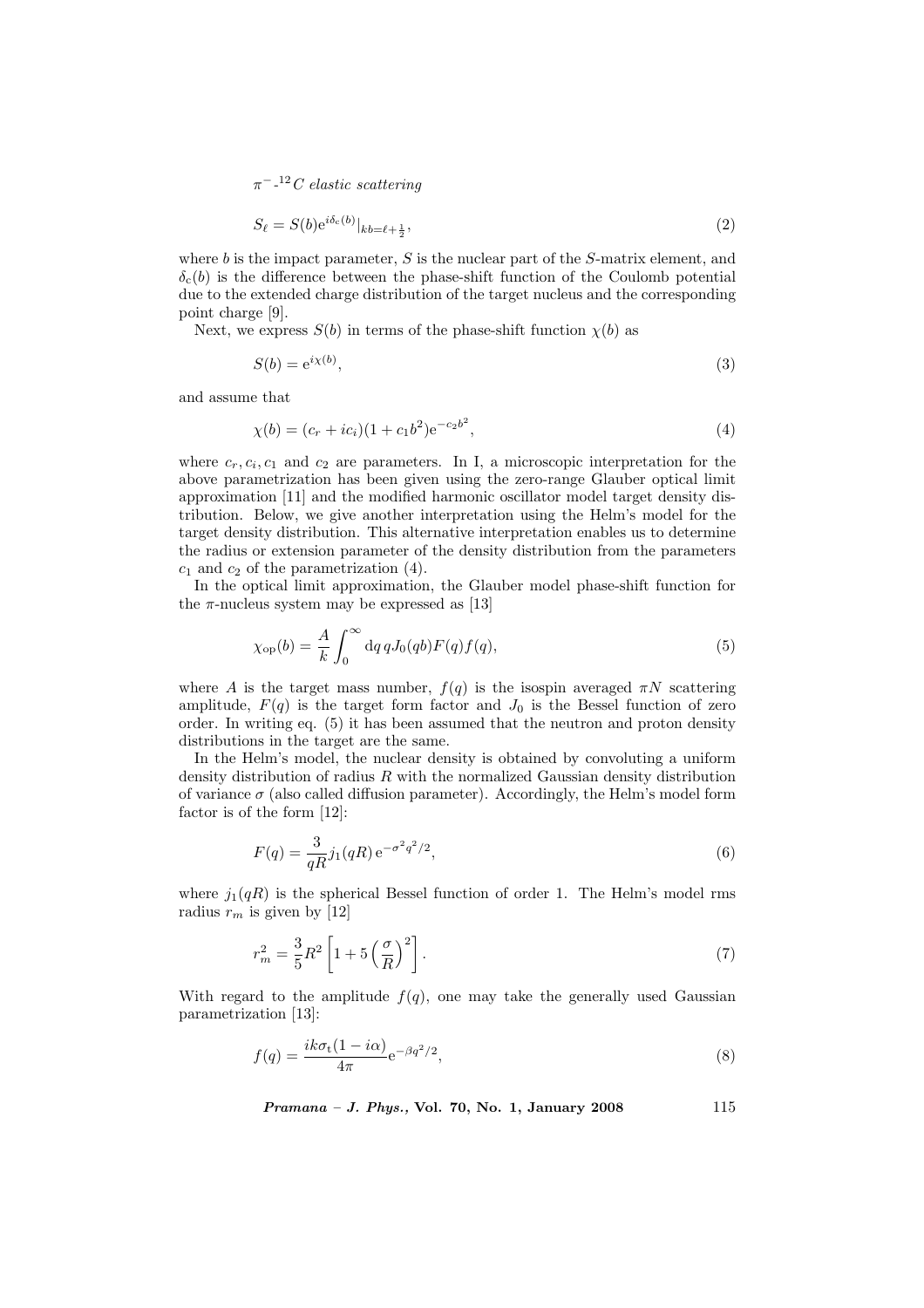$\pi^{-12}C$  elastic scattering

$$
S_{\ell} = S(b) e^{i\delta_c(b)} |_{kb = \ell + \frac{1}{2}}, \tag{2}
$$

where  $b$  is the impact parameter,  $S$  is the nuclear part of the  $S$ -matrix element, and  $\delta_{c}(b)$  is the difference between the phase-shift function of the Coulomb potential due to the extended charge distribution of the target nucleus and the corresponding point charge [9].

Next, we express  $S(b)$  in terms of the phase-shift function  $\chi(b)$  as

$$
S(b) = e^{i\chi(b)},\tag{3}
$$

and assume that

$$
\chi(b) = (c_r + ic_i)(1 + c_1b^2)e^{-c_2b^2},\tag{4}
$$

where  $c_r, c_i, c_1$  and  $c_2$  are parameters. In I, a microscopic interpretation for the above parametrization has been given using the zero-range Glauber optical limit approximation [11] and the modified harmonic oscillator model target density distribution. Below, we give another interpretation using the Helm's model for the target density distribution. This alternative interpretation enables us to determine the radius or extension parameter of the density distribution from the parameters  $c_1$  and  $c_2$  of the parametrization (4).

In the optical limit approximation, the Glauber model phase-shift function for the  $\pi$ -nucleus system may be expressed as [13]

$$
\chi_{\rm op}(b) = \frac{A}{k} \int_0^\infty dq \, q J_0(qb) F(q) f(q), \tag{5}
$$

where A is the target mass number,  $f(q)$  is the isospin averaged  $\pi N$  scattering amplitude,  $F(q)$  is the target form factor and  $J_0$  is the Bessel function of zero order. In writing eq. (5) it has been assumed that the neutron and proton density distributions in the target are the same.

In the Helm's model, the nuclear density is obtained by convoluting a uniform density distribution of radius  $R$  with the normalized Gaussian density distribution of variance  $\sigma$  (also called diffusion parameter). Accordingly, the Helm's model form factor is of the form [12]:

$$
F(q) = \frac{3}{qR} j_1(qR) e^{-\sigma^2 q^2/2},\tag{6}
$$

where  $j_1(qR)$  is the spherical Bessel function of order 1. The Helm's model rms radius  $r_m$  is given by [12]

$$
r_m^2 = \frac{3}{5}R^2 \left[1 + 5\left(\frac{\sigma}{R}\right)^2\right].\tag{7}
$$

With regard to the amplitude  $f(q)$ , one may take the generally used Gaussian parametrization [13]:

$$
f(q) = \frac{ik\sigma_t(1 - i\alpha)}{4\pi} e^{-\beta q^2/2},\tag{8}
$$

Pramana – J. Phys., Vol. 70, No. 1, January 2008 115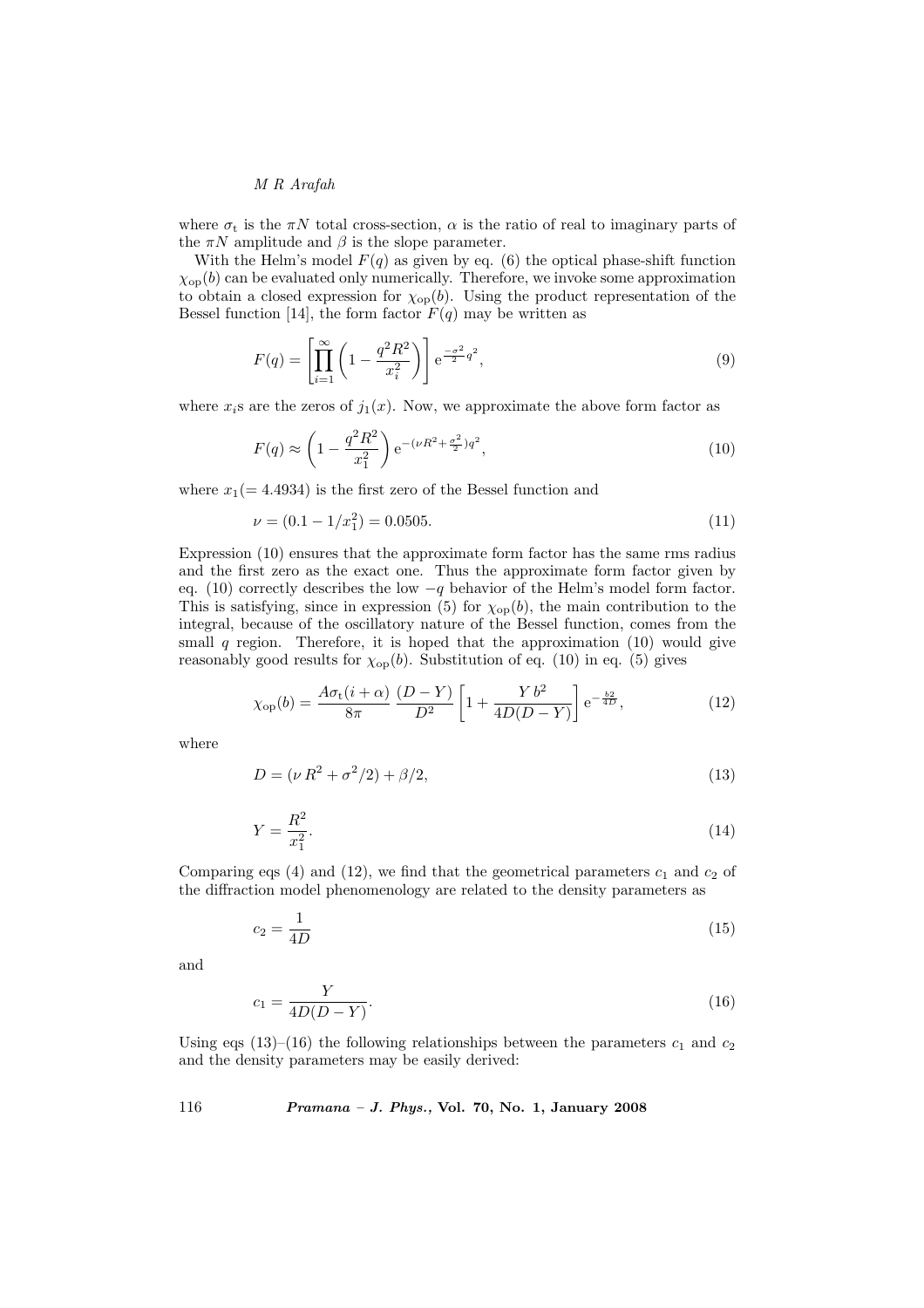M R Arafah

where  $\sigma_t$  is the  $\pi N$  total cross-section,  $\alpha$  is the ratio of real to imaginary parts of the  $\pi N$  amplitude and  $\beta$  is the slope parameter.

With the Helm's model  $F(q)$  as given by eq. (6) the optical phase-shift function  $\chi_{op}(b)$  can be evaluated only numerically. Therefore, we invoke some approximation to obtain a closed expression for  $\chi_{op}(b)$ . Using the product representation of the Bessel function [14], the form factor  $F(q)$  may be written as

$$
F(q) = \left[ \prod_{i=1}^{\infty} \left( 1 - \frac{q^2 R^2}{x_i^2} \right) \right] e^{-\frac{\sigma^2}{2} q^2}, \tag{9}
$$

where  $x_i$ s are the zeros of  $j_1(x)$ . Now, we approximate the above form factor as

$$
F(q) \approx \left(1 - \frac{q^2 R^2}{x_1^2}\right) e^{-(\nu R^2 + \frac{\sigma^2}{2})q^2},\tag{10}
$$

where  $x_1(= 4.4934)$  is the first zero of the Bessel function and

$$
\nu = (0.1 - 1/x_1^2) = 0.0505. \tag{11}
$$

Expression (10) ensures that the approximate form factor has the same rms radius and the first zero as the exact one. Thus the approximate form factor given by eq. (10) correctly describes the low  $-q$  behavior of the Helm's model form factor. This is satisfying, since in expression (5) for  $\chi_{op}(b)$ , the main contribution to the integral, because of the oscillatory nature of the Bessel function, comes from the small  $q$  region. Therefore, it is hoped that the approximation  $(10)$  would give reasonably good results for  $\chi_{op}(b)$ . Substitution of eq. (10) in eq. (5) gives

$$
\chi_{\rm op}(b) = \frac{A\sigma_{\rm t}(i+\alpha)}{8\pi} \frac{(D-Y)}{D^2} \left[1 + \frac{Yb^2}{4D(D-Y)}\right] e^{-\frac{b2}{4D}},\tag{12}
$$

where

$$
D = (\nu R^2 + \sigma^2/2) + \beta/2,\tag{13}
$$

$$
Y = \frac{R^2}{x_1^2}.\tag{14}
$$

Comparing eqs (4) and (12), we find that the geometrical parameters  $c_1$  and  $c_2$  of the diffraction model phenomenology are related to the density parameters as

$$
c_2 = \frac{1}{4D} \tag{15}
$$

and

$$
c_1 = \frac{Y}{4D(D - Y)}.\tag{16}
$$

Using eqs (13)–(16) the following relationships between the parameters  $c_1$  and  $c_2$ and the density parameters may be easily derived:

116 Pramana – J. Phys., Vol. 70, No. 1, January 2008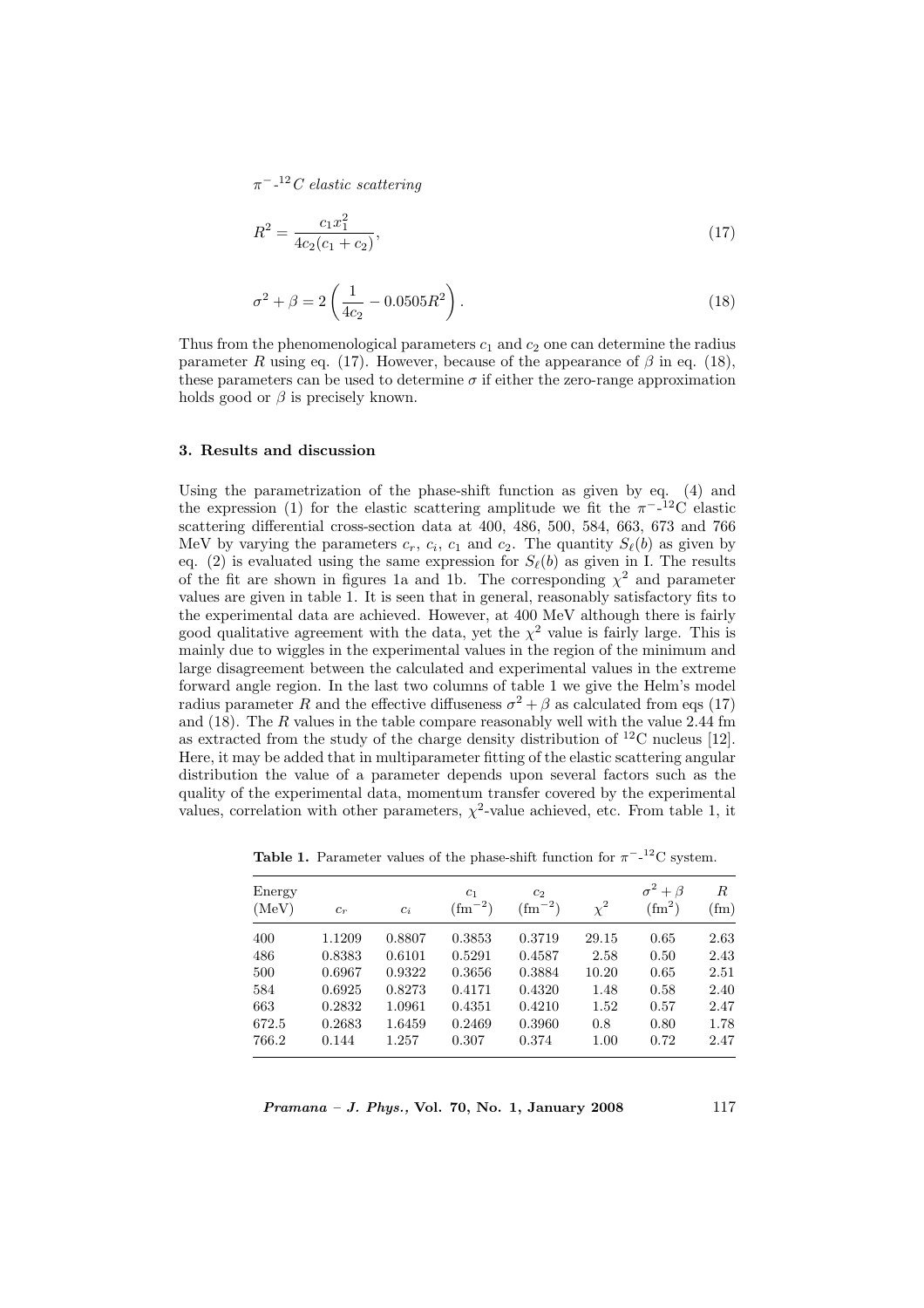$\pi^{-12}C$  elastic scattering

$$
R^2 = \frac{c_1 x_1^2}{4c_2(c_1 + c_2)},\tag{17}
$$

$$
\sigma^2 + \beta = 2\left(\frac{1}{4c_2} - 0.0505R^2\right). \tag{18}
$$

Thus from the phenomenological parameters  $c_1$  and  $c_2$  one can determine the radius parameter R using eq. (17). However, because of the appearance of  $\beta$  in eq. (18), these parameters can be used to determine  $\sigma$  if either the zero-range approximation holds good or  $\beta$  is precisely known.

# 3. Results and discussion

Using the parametrization of the phase-shift function as given by eq. (4) and the expression (1) for the elastic scattering amplitude we fit the  $\pi^{-12}C$  elastic scattering differential cross-section data at 400, 486, 500, 584, 663, 673 and 766 MeV by varying the parameters  $c_r$ ,  $c_i$ ,  $c_1$  and  $c_2$ . The quantity  $S_{\ell}(b)$  as given by eq. (2) is evaluated using the same expression for  $S_{\ell}(b)$  as given in I. The results of the fit are shown in figures 1a and 1b. The corresponding  $\chi^2$  and parameter values are given in table 1. It is seen that in general, reasonably satisfactory fits to the experimental data are achieved. However, at 400 MeV although there is fairly good qualitative agreement with the data, yet the  $\chi^2$  value is fairly large. This is mainly due to wiggles in the experimental values in the region of the minimum and large disagreement between the calculated and experimental values in the extreme forward angle region. In the last two columns of table 1 we give the Helm's model radius parameter R and the effective diffuseness  $\sigma^2 + \beta$  as calculated from eqs (17) and  $(18)$ . The R values in the table compare reasonably well with the value 2.44 fm as extracted from the study of the charge density distribution of  $^{12}$ C nucleus [12]. Here, it may be added that in multiparameter fitting of the elastic scattering angular distribution the value of a parameter depends upon several factors such as the quality of the experimental data, momentum transfer covered by the experimental values, correlation with other parameters,  $\chi^2$ -value achieved, etc. From table 1, it

| Energy<br>(MeV) | $c_r$  | $c_i$  | c <sub>1</sub><br>$\rm (fm^{-2})$ | c <sub>2</sub><br>$\rm (fm^{-2})$ | $\chi^2$ | $\sigma^2+\beta$<br>$\text{ (fm}^2)$ | R<br>$(\text{fm})$ |
|-----------------|--------|--------|-----------------------------------|-----------------------------------|----------|--------------------------------------|--------------------|
| 400             | 1.1209 | 0.8807 | 0.3853                            | 0.3719                            | 29.15    | 0.65                                 | 2.63               |
| 486             | 0.8383 | 0.6101 | 0.5291                            | 0.4587                            | 2.58     | 0.50                                 | 2.43               |
| 500             | 0.6967 | 0.9322 | 0.3656                            | 0.3884                            | 10.20    | 0.65                                 | 2.51               |
| 584             | 0.6925 | 0.8273 | 0.4171                            | 0.4320                            | 1.48     | 0.58                                 | 2.40               |
| 663             | 0.2832 | 1.0961 | 0.4351                            | 0.4210                            | 1.52     | 0.57                                 | 2.47               |
| 672.5           | 0.2683 | 1.6459 | 0.2469                            | 0.3960                            | 0.8      | 0.80                                 | 1.78               |
| 766.2           | 0.144  | 1.257  | 0.307                             | 0.374                             | 1.00     | 0.72                                 | 2.47               |

**Table 1.** Parameter values of the phase-shift function for  $\pi^{-12}$ C system.

*Pramana – J. Phys.*, Vol. 70, No. 1, January 2008 117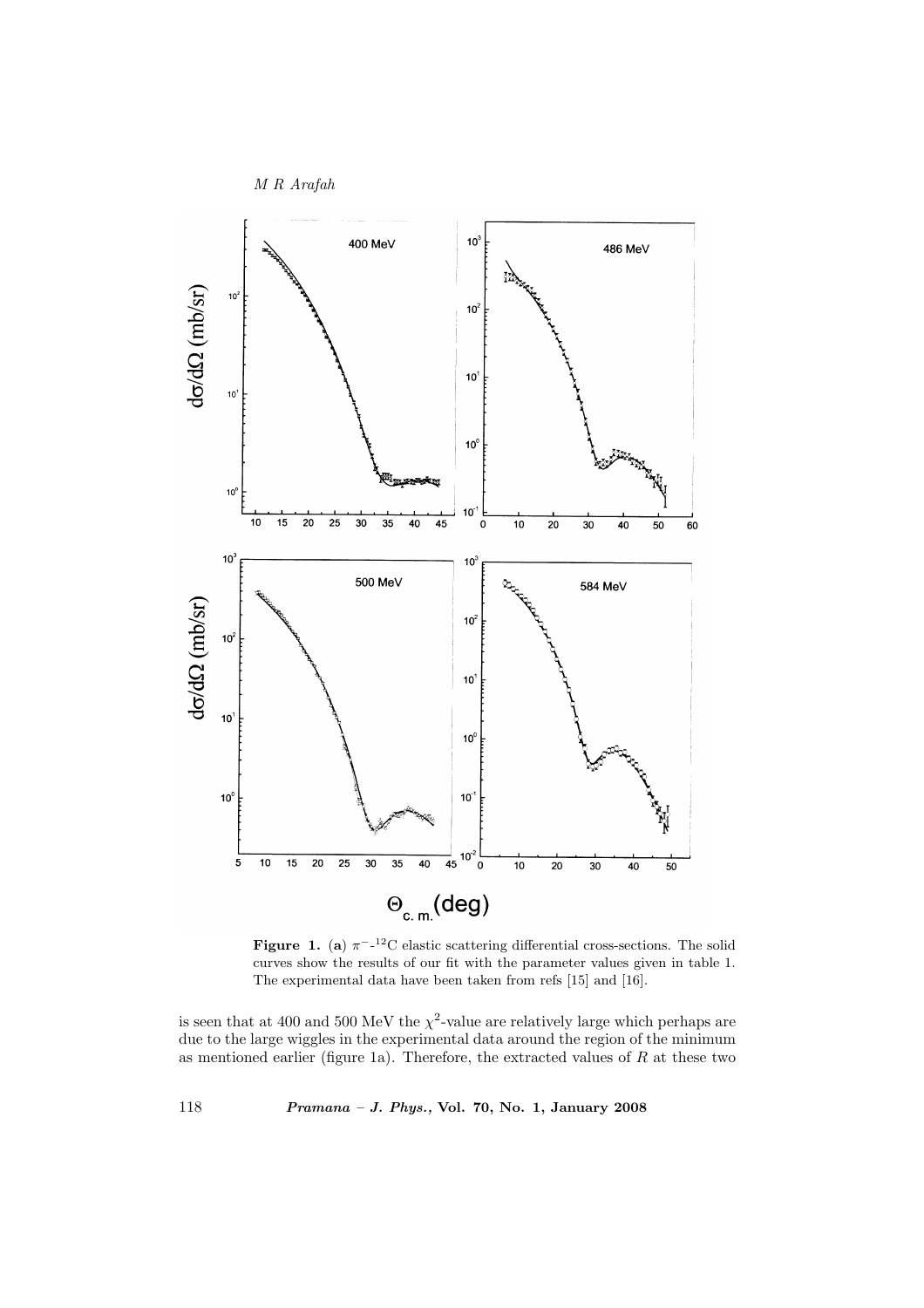

**Figure 1.** (a)  $\pi^{-12}$ C elastic scattering differential cross-sections. The solid curves show the results of our fit with the parameter values given in table 1. The experimental data have been taken from refs [15] and [16].

is seen that at 400 and 500 MeV the  $\chi^2$ -value are relatively large which perhaps are due to the large wiggles in the experimental data around the region of the minimum as mentioned earlier (figure 1a). Therefore, the extracted values of  $R$  at these two

118 Pramana – J. Phys., Vol. 70, No. 1, January 2008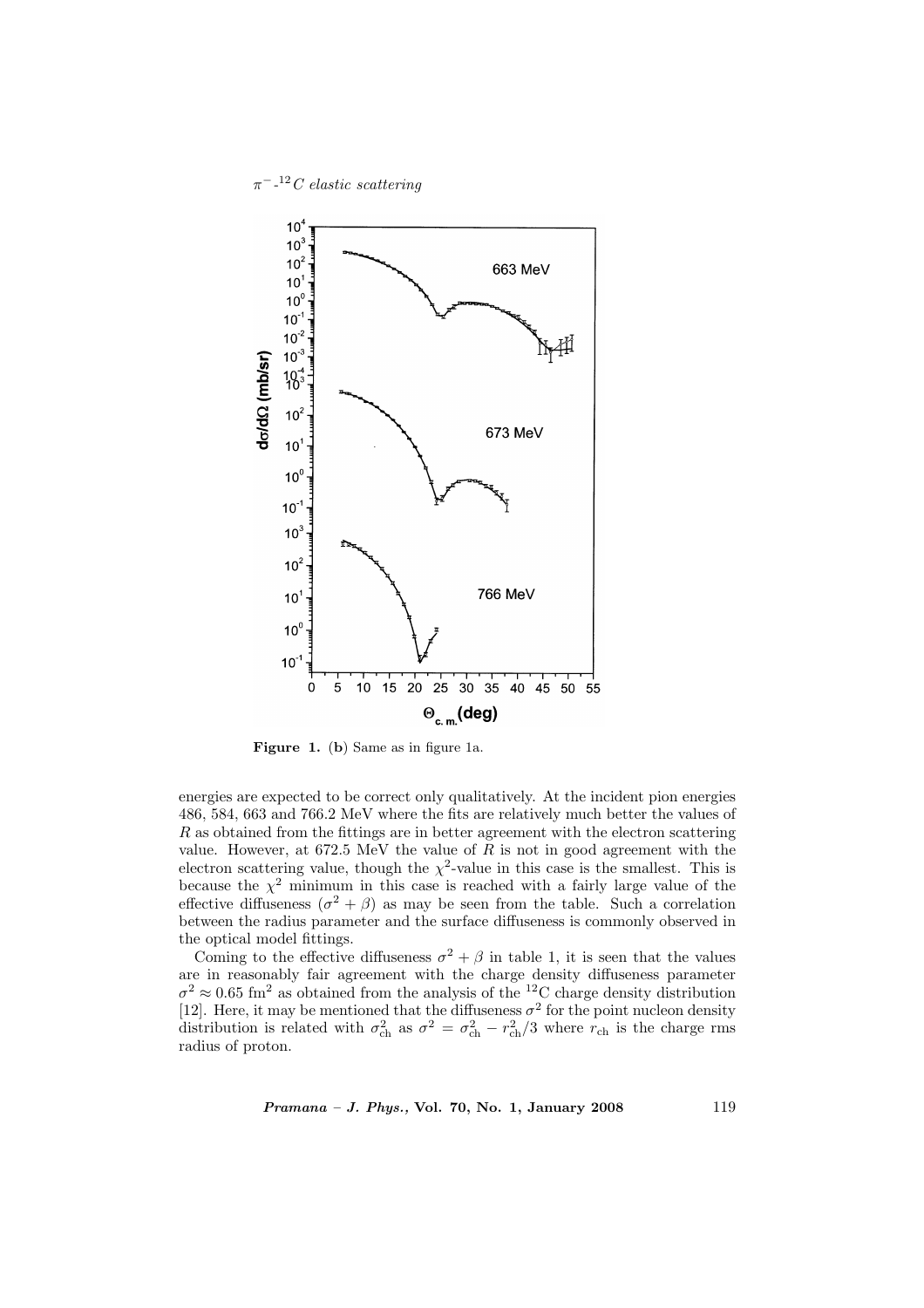$\pi^{-12}C$  elastic scattering



Figure 1. (b) Same as in figure 1a.

energies are expected to be correct only qualitatively. At the incident pion energies 486, 584, 663 and 766.2 MeV where the fits are relatively much better the values of R as obtained from the fittings are in better agreement with the electron scattering value. However, at  $672.5 \text{ MeV}$  the value of R is not in good agreement with the electron scattering value, though the  $\chi^2$ -value in this case is the smallest. This is because the  $\chi^2$  minimum in this case is reached with a fairly large value of the effective diffuseness  $(\sigma^2 + \beta)$  as may be seen from the table. Such a correlation between the radius parameter and the surface diffuseness is commonly observed in the optical model fittings.

Coming to the effective diffuseness  $\sigma^2 + \beta$  in table 1, it is seen that the values are in reasonably fair agreement with the charge density diffuseness parameter  $\sigma^2 \approx 0.65$  fm<sup>2</sup> as obtained from the analysis of the <sup>12</sup>C charge density distribution [12]. Here, it may be mentioned that the diffuseness  $\sigma^2$  for the point nucleon density distribution is related with  $\sigma_{ch}^2$  as  $\sigma^2 = \sigma_{ch}^2 - r_{ch}^2/3$  where  $r_{ch}$  is the charge rms radius of proton.

Pramana – J. Phys., Vol. 70, No. 1, January 2008 119